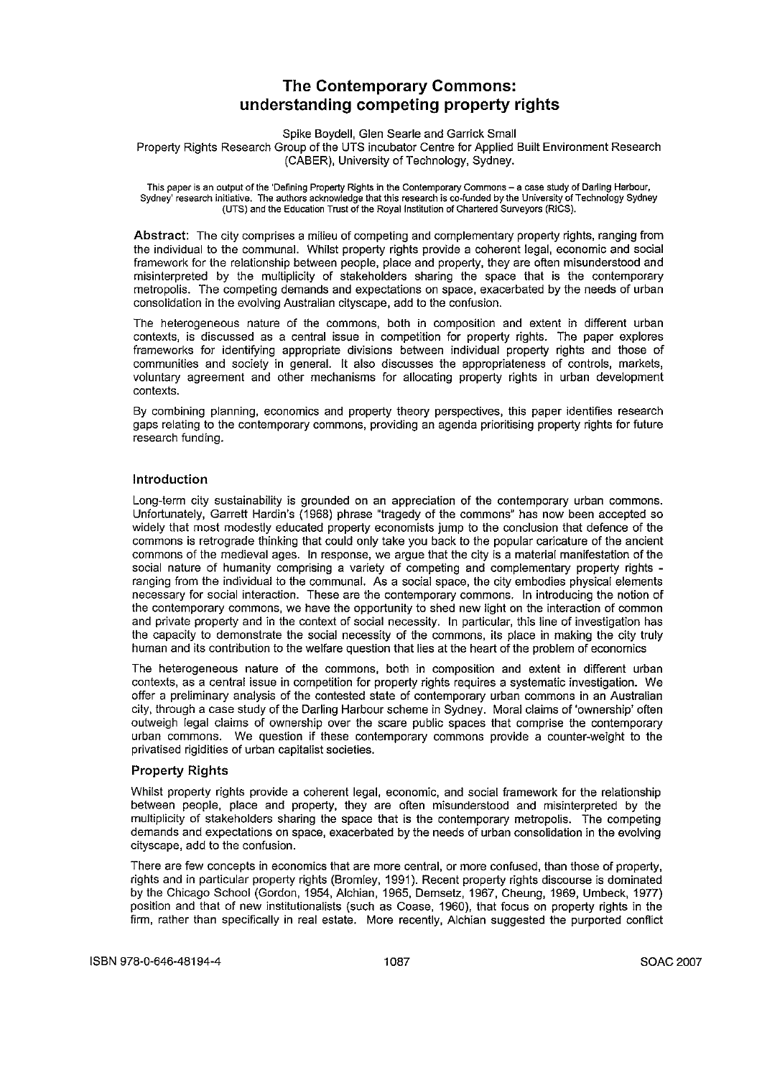# **The Contemporary Commons: understanding competing property rights**

Spike Boydell, Glen Searle and Garrick Small

Property Rights Research Group of the UTS incubator Centre for Applied Built Environment Research (CABER), University of Technology, Sydney.

This paper is an output of the 'Defining Property Rights in the Contemporary Commons - a case study of Darling Harbour, Sydney' research initiative. The authors acknowledge that this research is co-funded by the University of Technology Sydney **(VTS) and the Education Trust of the** Royal Institution **of Chartered Surveyors (RICS).**

Abstract: The city comprises a milieu of competing and complementary property rights, ranging from the individual to the communal. Whilst property rights provide a coherent legal, economic and social framework for the relationship between people, place and property, they are often misunderstood and misinterpreted by the multiplicity of stakeholders sharing the space that is the contemporary metropolis. The competing demands and expectations on space, exacerbated by the needs of urban consolidation in the evolving Australian cityscape, add to the confusion.

The heterogeneous nature of the commons, both in composition and extent in different urban contexts, is discussed as a central issue in competition for property rights. The paper explores frameworks for identifying appropriate divisions between individual property rights and those of communities and society in general. It also discusses the appropriateness of controls, markets, voluntary agreement and other mechanisms for allocating property rights in urban development **contexts.**

By combining planning, economics and property theory perspectives, this paper identifies research gaps relating to the contemporary commons, providing an agenda prioritising property rights for future **research funding.**

# Introduction

Long-term city sustainability is grounded on an appreciation of the contemporary urban commons. Unfortunately, Garrett Hardin's (1968) phrase "tragedy of the commons" has now been accepted so widely that most modestly educated property economists jump to the conclusion that defence of the commons is retrograde thinking that could only take you back to the popular caricature of the ancient commons of the medieval ages. In response, we argue that the city is a material manifestation of the social nature of humanity comprising a variety of competing and complementary property rights ranging from the individual to the communal. As a social space, the city embodies physical elements necessary for social interaction. These are the contemporary commons. In introducing the notion of the contemporary commons, we have the opportunity to shed new light on the interaction of common and private property and in the context of social necessity. In particular, this line of investigation has the capacity to demonstrate the social necessity of the commons, its place in making the city truly human and its contribution to the welfare question that lies at the heart of the problem of economics

The heterogeneous nature of the commons, both in composition and extent in different urban contexts, as a central issue in competition for property rights requires a systematic investigation. We offer a preliminary analysis of the contested state of contemporary urban commons in an Australian city, through a case study of the Darling Harbour scheme in Sydney. Moral claims of 'ownership' often outweigh legal claims of ownership over the scare public spaces that comprise the contemporary urban commons. We question if these contemporary commons provide a counter-weight to the privatised rigidities of urban capitalist societies.

## Property Rights

Whilst property rights provide a coherent legal, economic, and social framework for the relationship between people, place and property, they are often misunderstood and misinterpreted by the multiplicity of stakeholders sharing the space that is the contemporary metropolis. The competing demands and expectations on space, exacerbated by the needs of urban consolidation in the evolving cityscape, add to the confusion.

There are few concepts in economics that are more central, or more confused, than those of property, rights and in particular property rights (Bromley, 1991). Recent property rights discourse is dominated by the Chicago School (Gordon, 1954, Alchian, 1965, Demsetz, 1967, Cheung, 1969, Umbeck, 1977) position and that of new institutionalists (such as Coase, 1960), that focus on property rights in the firm, rather than specifically in real estate. More recently, Alchian suggested the purported conflict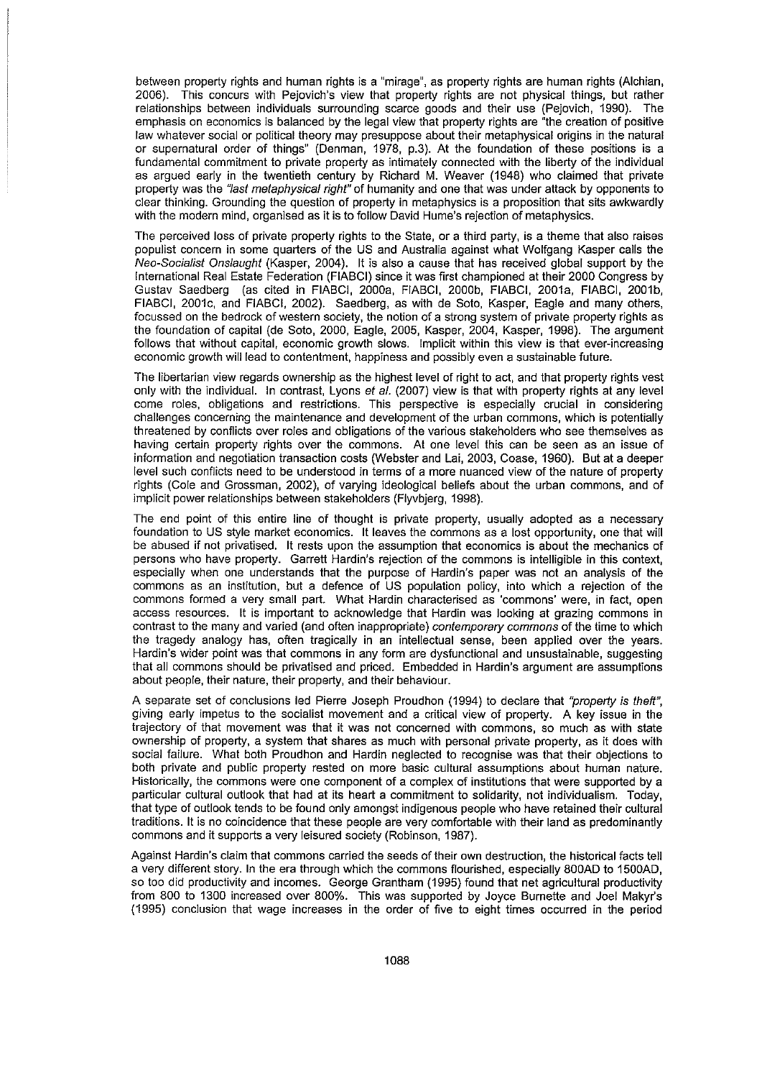between property rights and human rights is a "mirage", as property rights are human rights (Alchian, 2006). This concurs with Pejovich's view that property rights are not physical things, but rather relationships between individuals surrounding scarce goods and their use (Pejovich, 1990). The emphasis on economics is balanced by the legal view that property rights are "the creation of positive law whatever social or political theory may presuppose about their metaphysical origins in the natural or supernatural order of things" (Denman, 1978, p.3). At the foundation of these positions is a fundamental commitment to private property as intimately connected with the liberty of the individual as argued early in the twentieth century by Richard M. Weaver (1948) who claimed that private property was the "last metaphysical right" of humanity and one that was under attack by opponents to clear thinking. Grounding the question of property in metaphysics is a proposition that sits awkwardly with the modern mind, organised as it is to follow David Hume's rejection of metaphysics.

The perceived loss of private property rights to the State, or a third party, is a theme that also raises populist concern in some quarters of the US and Australia against what Wolfgang Kasper calls the Neo-Socialist Onsiaught (Kasper, 2004). It is also a cause that has received global support by the International Real Estate Federation (FIABGI) since It was first championed at their 2000 Gongress by Gustav Saedberg (as cited in FIABCI, 2000a, FIABCI, 2000b, FIABCI, 2001a, FIABCI, 2001b, FIABGI, 2001c, and FIABGI, 2002). Saedberg, as with de Soto, Kasper, Eagle and many others, focussed on the bedrock of western society, the notion of a strong system of private property rights as the foundation of capital (de Soto, 2000, Eagle, 2005, Kasper, 2004, Kasper, 1998). The argument follows that without capital, economic growth slows. Implicit within this view is that ever-increasing economic growth will lead to contentment, happiness and possibly even a sustainable future.

The libertarian view regards ownership as the highest level of right to act, and that property rights vest only with the individual. In contrast, Lyons et al. (2007) view is that with property rights at any level come roles, obligations and restrictions. This perspective is especially crucial in considering challenges concerning the maintenance and development of the urban commons, which is potentially threatened by conflicts over roles and obligations of the various stakeholders who see themselves as having certain property rights over the commons. At one level this can be seen as an issue of information and negotiation transaction costs (Webster and Lai, 2003, Goase, 1960). But at a deeper level such conflicts need to be understood in terms of a more nuanced view of the nature of property rights (Cole and Grossman, 2002), of varying ideological beliefs about the urban commons, and of implicit power relationships between stakeholders (Flyvbjerg, 1998).

The end point of this entire line of thought is private property, usually adopted as a necessary foundation to US style market economics. It leaves the commons as a lost opportunity, one that will be abused if not privatised. It rests upon the assumption that economics is about the mechanics of persons who have property. Garrett Hardin's rejection of the commons is intelligible in this context, especially when one understands that the purpose of Hardin's paper was not an analysis of the commons as an institution, but a defence of US population policy, into which a rejection of the commons formed a very small part. What Hardin characterised as 'commons' were, in fact, open access resources. It is important to acknowledge that Hardin was looking at grazing commons in contrast to the many and varied (and often inappropriate) contemporary commons of the time to which the tragedy analogy has, often tragically in an intellectual sense, been applied over the years. Hardin's wider point was that commons in any form are dysfunctional and unsustainable, suggesting that all commons should be privatised and priced. Embedded in Hardin's argument are assumptions about people, their nature, their property, and their behaviour.

A separate set of conclusions led Pierre Joseph Proudhon (1994) to declare that "property is theft", giving early impetus to the socialist movement and a critical view of property. A key issue in the trajectory of that movement was that it was not concerned with commons, so much as with state ownership of property, a system that shares as much with personal private property, as it does with social failure. What both Proudhon and Hardin neglected to recognise was that their objections to both private and public property rested on more basic cultural assumptions about human nature. Historically, the commons were one component of a complex of institutions that were supported by a particular cultural outlook that had at its heart a commitment to solidarity, not individualism. Today, that type of outlook tends to be found only amongst indigenous people who have retained their cultural traditions. It is no coincidence that these people are very comfortable with their land as predominantly commons and it supports a very leisured society (Robinson, 1987).

Against Hardin's claim that commons carried the seeds of their own destruction, the historical facts tell a very different story. In the era through which the commons fiourished, especially 800AD to 1500AD, so too did productivity and incomes. George Grantham (1995) found that net agricultural productivity from 800 to 1300 increased over 800%. This was supported by Joyce Burnette and Joel Makyr's (1995) conclusion that wage increases in the order of five to eight times occurred in the period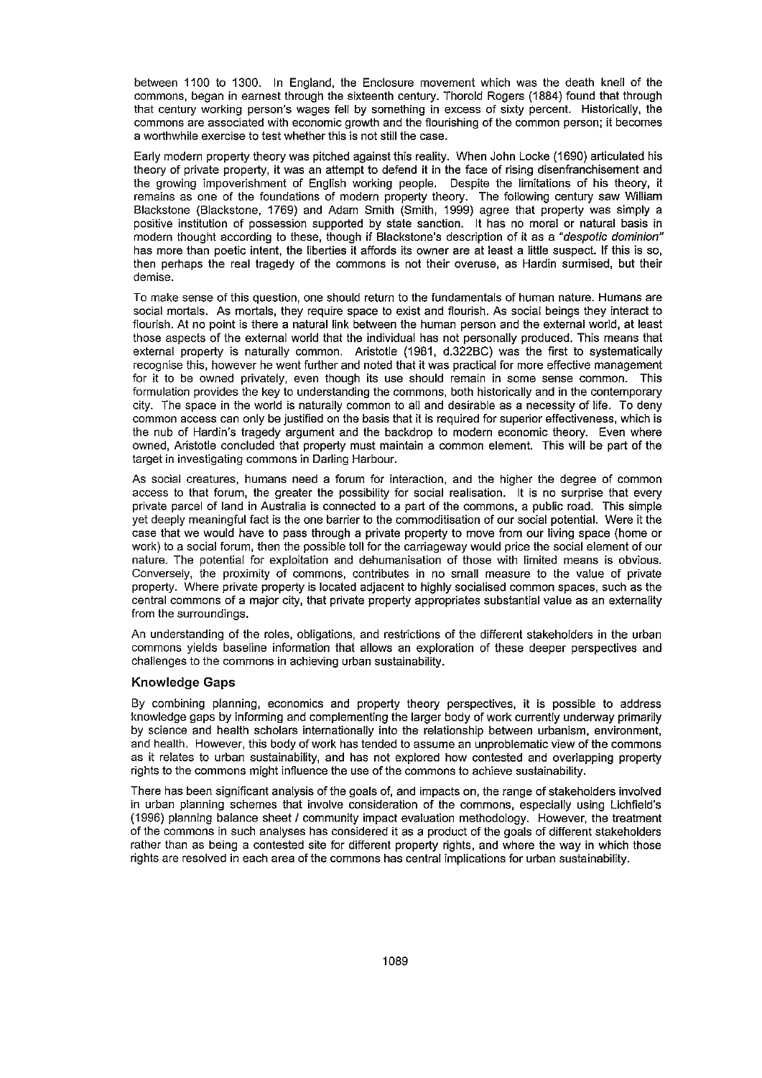between 1100 to 1300. In England, the Enclosure movement which was the death kneil of the commons, began in earnest through the sixteenth century. Thorold Rogers (1884) found that through that century working person's wages feil by something in excess of sixty percent. Historicaily, the **commons are associated with economic growth and the flourishing of the common person; it becomes** a worthwhile exercise to test whether this is not stiil the case.

Eariy modern property theory was pitched against this reality. When John Locke (1690) articulated his theory of private property, it was an attempt to defend it in the face of rising disenfranchisement and the growing impoverishment of English working people. Despite the limitations of his theory, it remains as one of the foundations of modern property theory. The foilowing century saw William Blackstone (Blackstone, 1769) and Adam Smith (Smith, 1999) agree that property was simply a positive institution of possession supported by state sanction. It has no moral or natural basis in modern thought according to these, though if Blackstone's description of it as a "despotic dominion" has more than poetic intent, the liberties it affords its owner are at least a little suspect. If this is so, then perhaps the real tragedy of the commons is not their overuse, as Hardin surmised, but their **demise.**

To make sense of this question, one should return to the fundamentals of human nature. Humans are social mortals. As mortals, they require space to exist and flourish. As social beings they interact to flourish. At no point is there a natural link between the human person and the external world, at least those aspects of the external world that the individual has not personaily produced. This means that external property is naturaily common. Aristotle (1981, d.322BC) was the first to systematically recognise this, however he went further and noted that it was practical for more effective management for it to be owned privately, even though its use should remain in some sense common. This formulation provides the key to understanding the commons, both historically and in the contemporary city. The space in the world is naturaily common to ail and desirable as a necessity of life. To deny common access can only be justified on the basis that it is required for superior effectiveness, which is the nub of Hardin's tragedy argument and the backdrop to modern economic theory. Even where owned, Aristotle concluded that property must maintain a common element. This will be part of the target in investigating commons in Darling Harbour.

As social creatures, humans need a forum for interaction, and the higher the degree of common access to that forum, the greater the possibility for social realisation. It is no surprise that every private parcel of land in Australia is connected to a part of the commons, a public road. This simple yet deeply meaningful fact is the one barrier to the commoditisation of our social potential. Were it the case that we would have to pass through a private property to move from our living space (home or work) to a social forum, then the possible toil for the carriageway would price the social element of our nature. The potential for exploitation and dehumanisation of those with limited means is obvious. Conversely, the proximity of commons, contributes in no smail measure to the value of private property. Where private property is located adjacent to highly socialised common spaces, such as the central commons of a major city, that private property appropriates substantial value as an externality from the surroundings.

An understanding of the roles, obligations, and restrictions of the different stakeholders in the urban commons yields baseline information that ailows an exploration of these deeper perspectives and challenges to the commons in achieving urban sustainability.

## Knowledge Gaps

By combining planning, economics and property theory perspectives, it is possible to address knowledge gaps by informing and complementing the larger body of work currentiy underway primarily by science and health scholars internationaily into the relationship between urbanism, environment, and health. However, this body of work has tended to assume an unproblematic view of the commons as it relates to urban sustainabillty, and has not explored how contested and overlapping property rights to the commons might influence the use of the commons to achieve sustainability.

There has been significant anaiysis of the goals of, and impacts on, the range of stakeholders involved in urban planning schemes that involve consideration of the commons, especiaily using Lichfield's (1996) planning balance sheet I community impact evaluation methodology. However, the treatment of the commons in such analyses has considered it as a product of the goals of different stakeholders rather than as being a contested site for different property rights, and where the way in which those rights are resolved in each area of the commons has central implications for urban sustainabillty.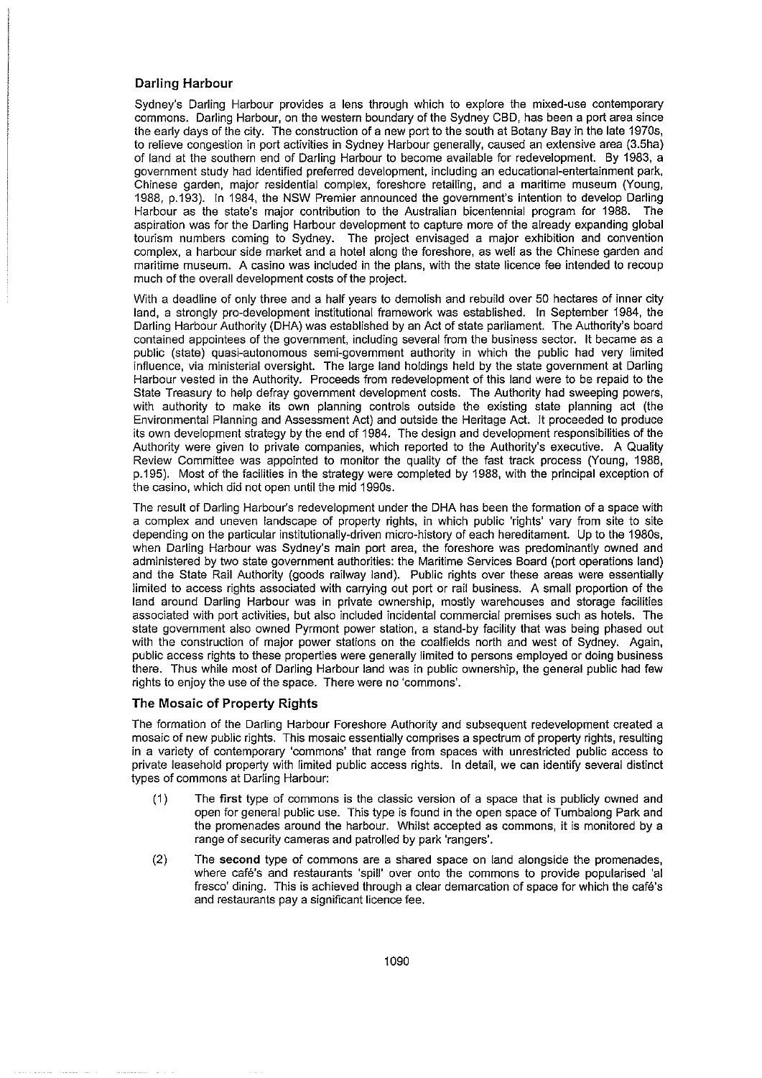## Darling Harbour

Sydney's Darling Harbour provides a lens through which to explore the mixed-use contemporary commons. Dariing Harbour, on the western boundary of the Sydney CBD, has been a port area since the early days of the city. The construction of a new port to the south at Botany Bay in the late 1970s, to relieve congestion in port activities in Sydney Harbour generaily, caused an extensive area (3.5ha) of land at the southern end of Darling Harbour to become availabie for redevelopment. By 1983, a government study had identified preferred development, inciuding an educationai-entertainment park, Chinese garden, major residential complex, foreshore retailing, and a maritime museum (Young, 1988, p.193). In 1984, the NSW Premier announced the government's intention to develop Darling Harbour as the state's major contribution to the Australian bicentennial program for 1988. The aspiration was for the Darling Harbour development to capture more of the already expanding global tourism numbers coming to Sydney. The project envisaged a major exhibition and convention complex, a harbour side market and a hotel along the foreshore, as weil as the Chinese garden and maritime museum. A casino was included in the plans, with the state licence fee intended to recoup much of the overail development costs of the project.

With a deadline of only three and a half years to demolish and rebuild over 50 hectares of inner city land, a strongly pro-development institutional framework was established. In September 1984, the Darling Harbour Authority (DHA) was established by an Act of state parliament. The Authority's board contained appointees of the government, including several from the business sector. It became as a public (state) quasi-autonomous semi-government authority in which the public had very limited influence, via ministerial oversight. The large land holdings held by the state government at Darling Harbour vested in the Authority. Proceeds from redevelopment of this land were to be repaid to the State Treasury to help defray government development costs. The Authority had sweeping powers, with authority to make its own planning controls outside the existing state planning act (the Environmental Planning and Assessment Act) and outside the Heritage Act. It proceeded to produce its own development strategy by the end of 1984. The design and development responsibilities of the Authority were given to private companies, which reported to the Authority's executive. A Quality Review Committee was appointed to monitor the quality of the fast track process (Young, 1988, p.195). Most of the facilities in the strategy were completed by 1988, with the principal exception of the casino, which did not open until the mid 1990s.

The result of Darling Harbour's redevelopment under the DHA has been the formation of a space with a complex and uneven landscape of property rights, in which public 'rights' vary from site to site depending on the particular institutionaily-driven micro-history of each hereditament. Up to the 1980s, when Darling Harbour was Sydney's main port area, the foreshore was predominantly owned and administered by two state government authorities: the Maritime Services Board (port operations land) and the State Rail Authority (goods railway land). Public rights over these areas were essentiaily limited to access rights associated with carrying out port or rail business. A smail proportion of the land around Darling Harbour was in private ownership, mostly warehouses and storage facilities associated with port activities, but also included incidental commercial premises such as hotels. The state government also owned Pyrmont power station, a stand-by facility that was being phased out with the construction of major power stations on the coalfields north and west of Sydney. Again, public access rights to these properties were generaily limited to persons employed or doing business there. Thus while most of Darling Harbour land was in public ownership, the general public had few rights to enjoy the use of the space. There were no 'commons'.

#### The Mosaic of Property Rights

The formation of the Darling Harbour Foreshore Authority and subsequent redevelopment created a mosaic of new public rights. This mosaic essentiaily comprises a spectrum of property rights, resulting in a variety of contemporary 'commons' that range from spaces with unrestricted public access to private leasehold property with limited public access rights. In detail, we can identify several distinct types of commons at Darling Harbour:

- (1) The first type of commons is the classic version of a space that is publicly owned and open for general public use. This type is found in the open space of Tumbalong Park and the promenades around the harbour. Whilst accepted as commons, it is monitored by a range of security cameras and patroiled by park 'rangers'.
- (2) The second type of commons are a shared space on land alongside the promenades, where cafe's and restaurants 'spill' over onto the commons to provide popularised 'al fresco' dining. This is achieved through a clear demarcation of space for which the cafe's and restaurants pay a significant licence fee.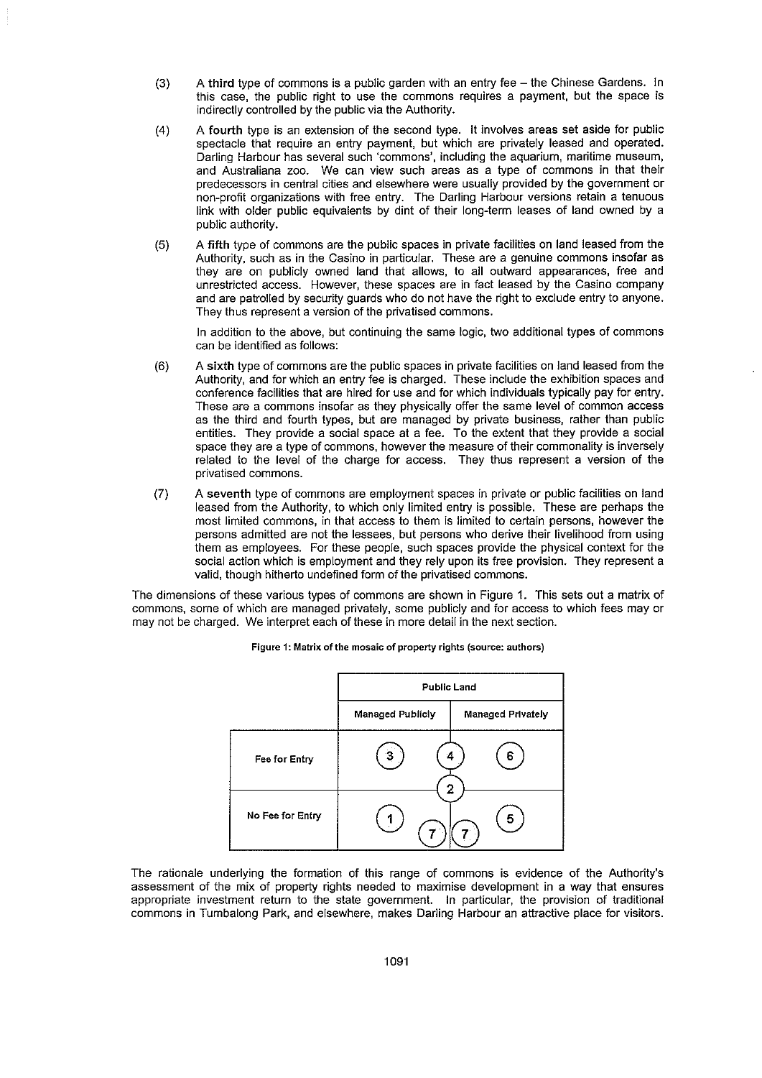- (3) A third type of commons is a public garden with an entry fee the Chinese Gardens. In this case, the public right to use the commons requires a payment, but the space is indirectly controlled by the public via the Authority.
- (4) A fourth type is an extension of the second type. It involves areas set aside for public spectacle that require an entry payment, but which are privately leased and operated. **Darling Harbour has several such 'commons', including the aquarium, maritime museum,** and Australiana zoo. We can view such areas as a type of commons in that their predecessors in central cities and elsewhere were usually provided by the government or non-profit organizations with free entry. The Darling Harbour versions retain a tenuous link with older public equivalents by dint of their long-term leases of land owned by a public authority.
- (5) A **fifth** type of commons are the public spaces in private facilities on land leased from the Authority, such as in the Casino in particular. These are a genuine commons insofar as they are on publicly owned land that allows, to all outward appearances, free and unrestricted access. However, these spaces are in fact leased by the Casino company and are patrolled by security guards who do not have the right to exclude entry to anyone. They thus represent a version of the privatised commons.

In addition to the above, but continuing the same logic, two additional types of commons can be identified as follows:

- (6) A sixth type of commons are the public spaces in private facilities on land leased from the Authority, and for which an entry fee is charged. These include the exhibition spaces and conference facilities that are hired for use and for which individuals typically pay for entry. These are a commons insofar as they physically offer the same level of common access as the third and fourth types, but are managed by private business, rather than public entities. They provide a social space at a fee. To the extent that they provide a social space they are a type of commons, however the measure of their commonality is inversely related to the level of the charge for access. They thus represent a version of the **privatised commons.**
- (7) A seventh type of commons are employment spaces in private or public facilities on land leased from the Authority, to which only limited entry is possible. These are perhaps the most limited commons, in that access to them is limited to certain persons, however the persons admitted are not the lessees, but persons who derive their livelihood from using them as employees. For these people, such spaces provide the physical context for the social action which is employment and they rely upon its free provision. They represent a valid, though hitherto undefined form of the privatised commons.

The dimensions of these various types of commons are shown in Figure 1. This sets out a matrix of commons, some of which are managed privately, some publicly and for access to which fees mayor may not be charged. We interpret each of these in more detail in the next section.



**Figure 1: Matrix of the mosaic of property rights (source: authors)**

The rationale underlying the formation of this range of commons is evidence of the Authority's assessment of the mix of property rights needed to maximise development in a way that ensures appropriate investment return to the state government. In particular, the provision of traditional commons in Tumbalong Park, and elsewhere, makes Darling Harbour an attractive place for visitors.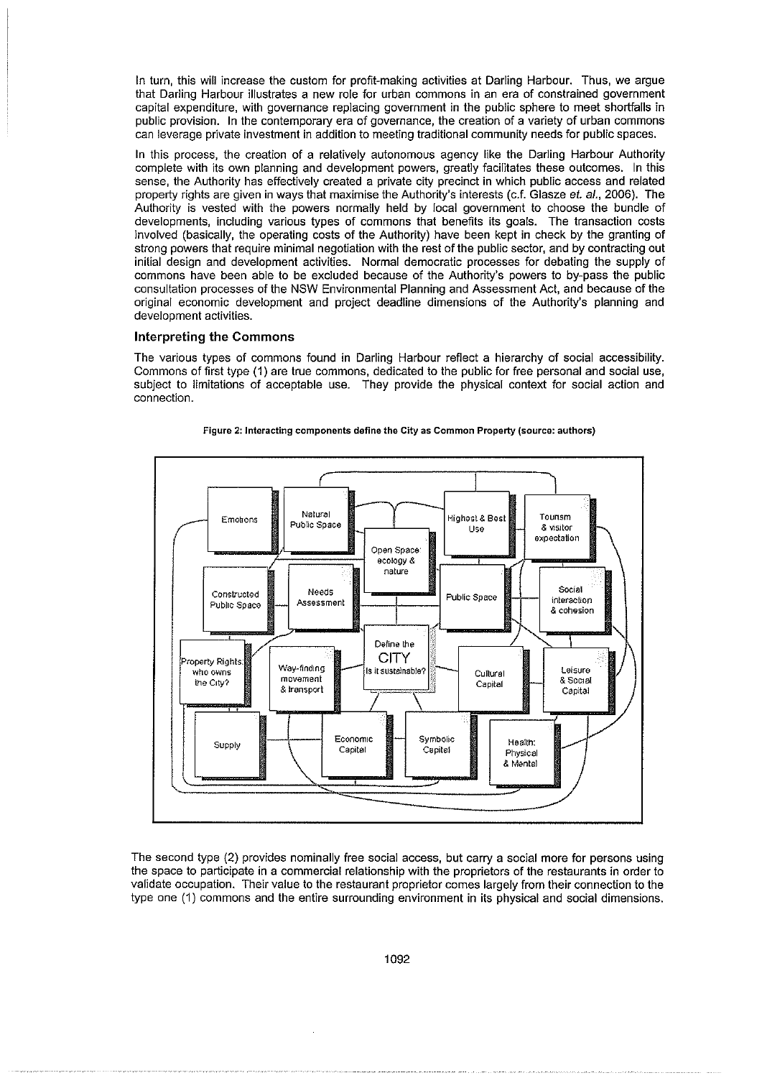In turn, this will increase the custom for profit-making activities at Darling Harbour. Thus, we argue that Darling Harbour illustrates a new role for urban commons in an era of constrained government capital expenditure, with governance replacing government in the public sphere to meet shortfalls in public provision. In the contemporary era of governance, the creation of a variety of urban commons can leverage private investment in addition to meeting traditional community needs for public spaces.

In this process, the creation of a relatively autonomous agency like the Darling Harbour Authority complete with its own planning and development powers, greatly facilitates these outcomes. In this sense, the Authority has effectively created a private city precinct in which public access and related property rights are given in ways that maximise the Authority's interests (c.f. Glasze et. al., 2006). The Authority is vested with the powers normally held by local government to choose the bundle of developments, including various types of commons that benefits its goals. The transaction costs involved (basically, the operating costs of the Authority) have been kept in check by the granting of strong powers that require minimal negotiation with the rest of the public sector, and by contracting out initial design and development activities. Normal democratic processes for debating the supply of commons have been able to be excluded because of the Authority's powers to by-pass the public consultation processes of the NSW Environmental Planning and Assessment Act, and because of the original economic development and project deadline dimensions of the Authority's planning and development activities.

## **Interpreting the Commons**

The various types of commons found in Darling Harbour reflect a hierarchy of social accessibility. Commons of first type (1) are true commons, dedicated to the public for free personal and social use, subject to limitations of acceptable use. They provide the physical context for social action and **connection.**





The second type (2) provides nominally free social access, but carry a social more for persons using the space to participate in a commercial relationship with the proprietors of the restaurants in order to validate occupation. Their value to the restaurant proprietor comes largely from their connection to the type one (1) commons and the entire surrounding environment in its physical and social dimensions.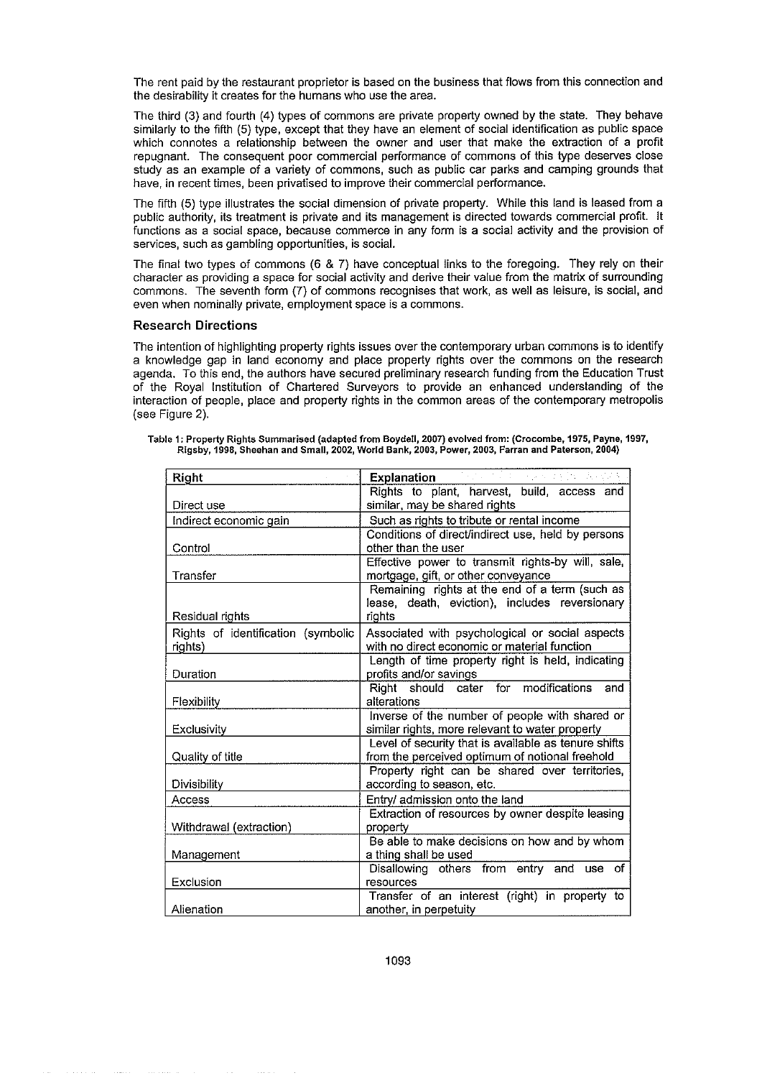The rent paid by the restaurant proprietor is based on the business that flows from this connection and the desirability it creates for the humans who use the area.

The third (3) and fourth (4) types of commons are private property owned by the state. They behave similarly to the fifth (5) type, except that they have an element of social identification as public space which connotes a relationship between the owner and user that make the extraction of a profit repugnant. The consequent poor commercial performance of commons of this type deserves close study as an example of a variety of commons, such as public car parks and camping grounds that have, in recent times, been privatised to improve their commercial performance.

The fifth (5) type illustrates the social dimension of private property. While this land is leased from a public authority, its treatment is private and its management is directed towards commercial profit. It functions as a social space, because commerce in any form is a social activity and the provision of **services, such as gambling opportunities, is social.**

The final two types of commons (6 & 7) have conceptual links to the foregoing. They rely on their character as providing a space for social activity and derive their value from the matrix of surrounding commons. The seventh form (7) of commons recognises that work, as well as leisure, is social, and even when nominally private, employment space is a commons.

# Research **Directions**

The intention of highlighting property rights issues over the contemporary urban commons is to identify a knowledge gap in land economy and place property rights over the commons on the research agenda. To this end, the authors have secured preliminary research funding from the Education Trust of the Royal Institution of Chartered Surveyors to provide an enhanced understanding of the interaction of people, place and property rights in the common areas of the contemporary metropolis (see Figure 2).

| Right                              | <b>Explanation</b>                                   |
|------------------------------------|------------------------------------------------------|
|                                    | Rights to plant, harvest, build, access and          |
| Direct use                         | similar, may be shared rights                        |
| Indirect economic gain             | Such as rights to tribute or rental income           |
|                                    | Conditions of direct/indirect use, held by persons   |
| Control                            | other than the user                                  |
|                                    | Effective power to transmit rights-by will, sale,    |
| Transfer                           | mortgage, gift, or other conveyance                  |
|                                    | Remaining rights at the end of a term (such as       |
|                                    | lease, death, eviction), includes reversionary       |
| Residual rights                    | rights                                               |
| Rights of identification (symbolic | Associated with psychological or social aspects      |
| rights)                            | with no direct economic or material function         |
|                                    | Length of time property right is held, indicating    |
| Duration                           | profits and/or savings                               |
|                                    | cater for modifications<br>Right should<br>and       |
| Flexibility                        | alterations                                          |
|                                    | Inverse of the number of people with shared or       |
| Exclusivity                        | similar rights, more relevant to water property      |
|                                    | Level of security that is available as tenure shifts |
| Quality of title                   | from the perceived optimum of notional freehold      |
|                                    | Property right can be shared over territories,       |
| Divisibility                       | according to season, etc.                            |
| Access                             | Entry/ admission onto the land                       |
|                                    | Extraction of resources by owner despite leasing     |
| Withdrawal (extraction)            | property                                             |
|                                    | Be able to make decisions on how and by whom         |
| Management                         | a thing shall be used                                |
|                                    | Disallowing others from entry and use of             |
| Exclusion                          | resources                                            |
|                                    | Transfer of an interest (right) in property to       |
| Alienation                         | another, in perpetuity                               |

**Table 1: Property Rights Summarised (adapted from Boydell, 2007) evolved from: (Crocombe, 1975, Payne, 1997, Rigsby, 1998, Sheehan and Small, 2002, World Bank, 2003, Power, 2003, Farran and Paterson, 2004)**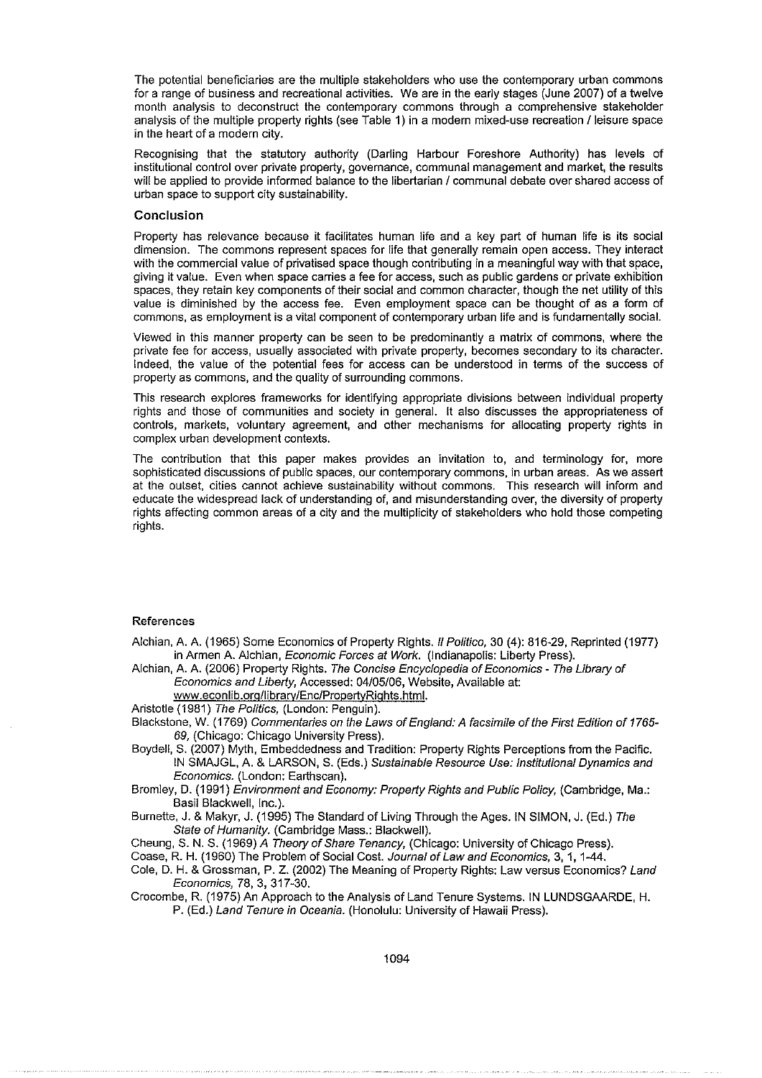The potential beneficiaries are the multiple stakeholders who use the contemporary urban commons for a range of business and recreational activities. We are in the early stages (June 2007) of a twelve month analysis to deconstruct the contemporary commons through a comprehensive stakeholder analysis of the multiple property rights (see Table 1) in a modern mixed-use recreation I leisure space in the heart of a modern city.

Recognising that the statutory authority (Darling Harbour Foreshore Authority) has levels of institutional control over private property, governance, communal management and market, the results will be applied to provide informed balance to the libertarian / communal debate over shared access of urban space to support city sustainability.

## **Conclusion**

Property has relevance because it facilitates human life and a key part of human life is its social dimension. The commons represent spaces for life that generally remain open access. They interact with the commercial value of privatised space though contributing in a meaningful way with that space, giving it value. Even when space carries a fee for access, such as public gardens or private exhibition spaces, they retain key components of their social and common character, though the net utility of this value is diminished by the access fee. Even employment space can be thought of as a form of commons, as employment is a vital component of contemporary urban life and is fundamentally social.

Viewed in this manner property can be seen to be predominantly a matrix of commons, where the private fee for access, usually associated with private property, becomes secondary to its character. Indeed, the value of the potential fees for access can be understood in terms of the success of property as commons, and the quality of surrounding commons.

This research explores frameworks for identifying appropriate divisions between individual property rights and those of communities and society in general. It also discusses the appropriateness of controls, markets, voluntary agreement, and other mechanisms for allocating property rights in complex urban development contexts.

The contribution that this paper makes provides an invitation to, and terminology for, more sophisticated discussions of public spaces, our contemporary commons, in urban areas. As we assert at the outset, cities cannot achieve sustainability without commons. This research will inform and educate the widespread lack of understanding of, and misunderstanding over, the diversity of property rights affecting common areas of a city and the multiplicity of stakeholders who hold those competing rights.

#### References

Alchian, A. A. (1965) Some Economics of Property Rights. II Polifico, 30 (4): 816-29, Reprinted (1977) in Armen A. Alchian, Economic Forces af Work. (Indianapolis: Liberty Press).

Alchian, A. A. (2006) Property Rights. The Concise Encyclopedia of Economics - The Library of Economics and Liberty, Accessed: 04/05/06, Website, Available at:

www.econlib.org/library/Enc/PropertyRights.html.

Aristotle (1981) The Politics, (London: Penguin).

Blackstone, W. (1769) Commentaries on the Laws of England: A facsimile of the First Edition of 1765- 69, (Chicago: Chicago University Press).

Boydell, S. (2007) Myth, Embeddedness and Tradition: Property Rights Perceptions from the Pacific. IN SMAJGL, A. & LARSON, S. (Eds.) Sustainable Resource Use: Institutional Dynamics and Economics. (London: Earthscan).

Bromley, D. (1991) Environment and Economy: Property Rights and Public Policy, (Cambridge, Ma.: Basil Blackwell, Inc.).

Burnette, J. & Makyr, J. (1995) The Standard of Living Through the Ages. IN SIMON, J. (Ed.) The State of Humanity. (Cambridge Mass.: Blackwell).

Cheung, S. N. S. (1969) A Theory of Share Tenancy, (Chicago: University of Chicago Press).

Coase, R. H. (1960) The Problem of Social Cost. Journal of Law and Economics, 3, 1, 1-44.

Cole, D. H. & Grossman, P. Z. (2002) The Meaning of Property Rights: Law versus Economics? Land Economics, 78, 3, 317-30.

Crocombe, R. (1975) An Approach to the Analysis of Land Tenure Systems. IN LUNDSGAARDE, H. P. (Ed.) Land Tenure in Oceania. (Honolulu: University of Hawaii Press).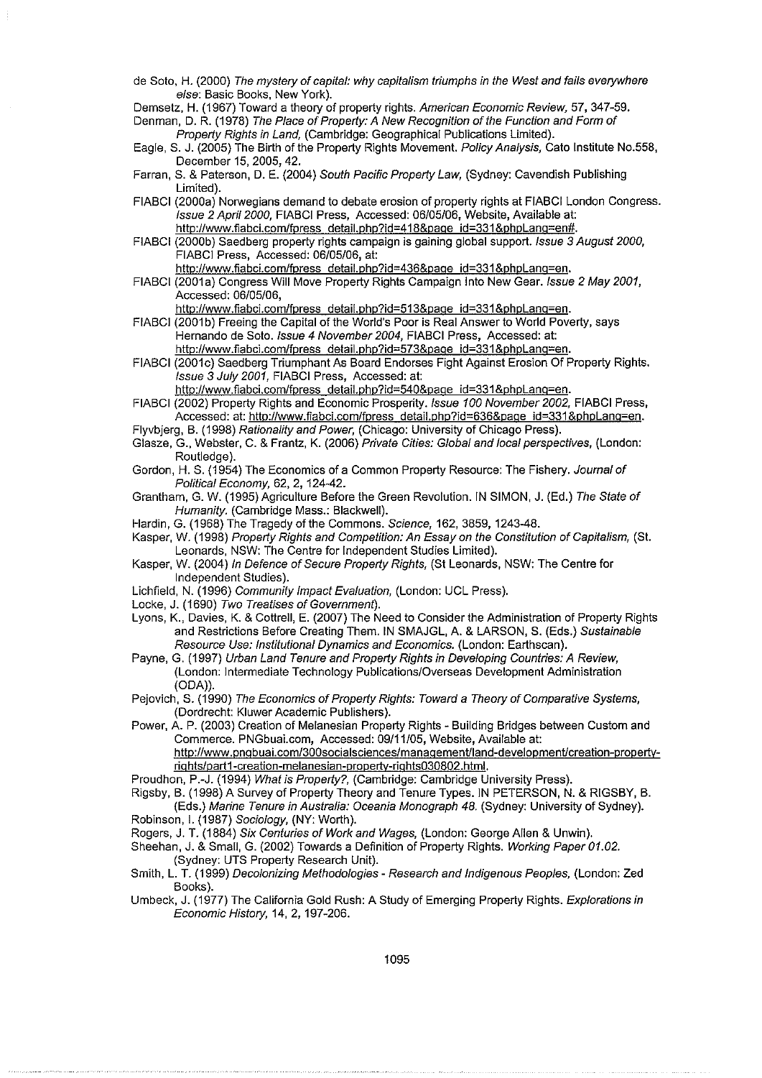de Soto, H. (2000) The mystery of capital: why capitalism triumphs in the West and fails everywhere else: Basic Books, New York).

Demsetz, H. (1967) Toward a theory of property rights. American Economic Review, 57, 347-59.

Denman, D. R. (1978) The Place of Property: A New Recognition of the Function and Form of Property Rights in Land, (Cambridge: Geographical Publications Limited).

- Eagle, S. J. (2005) The Birth of the Property Rights Movement. Policy Analysis, Cato Institute No.558, December 15, 2005, 42.
- Farran, S. & Paterson, D. E. (2004) South Pacific Property Law, (Sydney: Cavendish Pubiishing Limited).
- FIABCI (2000a) Norwegians demand to debate erosion of property rights at FIABCI London Congress. Issue 2 April 2000, FIABCI Press, Accessed: 06/05/06, Website, Available at: http://www.fiabci.com/fpress\_detail.php?id=418&page\_id=331&phpLang=en#.
- FiABCI (2000b) Saedberg property rights campaign is gaining global support. Issue 3 August 2000, FIABCI Press, Accessed: 06/05/06, at:
	- http://www.fiabci.com/fpress\_detail.php?id=436&page\_id=331&phpLang=en.
- FIABCI (2001a) Congress Will Move Property Rights Campaign Into New Gear. Issue 2 May 2001, Accessed: 06/05/06,

http://www.fiabci.com/fpress\_detail.php?id=513&page\_id=331&phpLang=en.

- FIABCI (2001b) Freeing the Capital of the World's Poor is Real Answer to World Poverty, says Hernando de Soto. Issue 4 November 2004, FIASCI Press, Accessed: at: http://www.fiabci.com/fpress\_detail.php?id=573&page\_id=331&phpLang=en.
- FIABCI (2001c) Saedberg Triumphant As Board Endorses Fight Against Erosion Of Property Rights. Issue 3 Juiy 2001, FIABCI Press, Accessed: at:

http://www.fiabci.com/fpress detail.php?id=540&page id=331&phpLang=en.

- FIABCI (2002) Property Rights and Economic Prosperity. Issue 100 November 2002, FIABCI Press, Accessed: at: http://www.fiabci.com/fpress\_detail.php?id=636&page\_id=331&phpLang=en.
- Flyvbjerg, B. (1998) Rationality and Power, (Chicago: University of Chicago Press).
- Glasze, G., Webster, C. & Frantz, K. (2006) Private Cities: Gtobal and local perspectives, (London: Routledge).
- Gordon, H. S. (1954) The Economics of a Common Property Resource: The Fishery. Journal of Political Economy, 62, 2, 124-42.
- Grantham, G. W. (1995) Agriculture Before the Green Revolution. IN SIMON, J. (Ed.) The State of Humanity. (Cambridge Mass.: Blackwell).
- Hardin, G. (1968) The Tragedy of the Commons. Science, 162, 3859, 1243-48.
- Kasper, W. (1998) Property Rights and Competition: An Essay on the Constitution of Capitalism, (St. Leonards, NSW: The Centre for Independent Studies Limited).
- Kasper, W. (2004) In Defence of Secure Property Rights, (St Leonards, NSW: The Centre for Independent Studies).
- Lichfield, N. (1996) Community Impact Evaluation, (London: UCL Press).
- Locke, J. (1690) Two Treatises of Government).
- Lyons, K., Davies, K. & Cottrell, E. (2007) The Need to Consider the Administration of Property Rights and Restrictions Before Creating Them. IN SMAJGL, A. & LARSON, S. (Eds.) Sustainable Resource Use: Institutional Dynamics and Economics. (London: Earthscan).
- Payne, G. (1997) Urban Land Tenure and Property Rights in Developing Countries: A Review, (London: Intermediate Technology Pubiications/Overseas Development Administration (ODA)).
- Pejovich, S. (1990) The Economics of Property Rights: Toward a Theory of Comparative Systems, (Dordrecht: Kluwer Academic Pubiishers).
- Power, A. P. (2003) Creation of Melanesian Property Rights Building Bridges between Custom and Commerce. PNGbuai.com, Accessed: 09/11/05, Website, Available at: http://www.pngbuai.com/300socialsciences/managementlland-developmentlcreation-propertyrig hts/part1-creatlon-melanesian-property-rights030802.html.
- Proudhon, P.-J. (1994) What is Property?, (Cambridge: Cambridge University Press).

Rigsby, B. (1998) A Survey of Property Theory and Tenure Types. IN PETERSON, N. & RIGSBY, B.

(Eds.) Marine Tenure in Australia: Oceania Monograph 48. (Sydney: University of Sydney). Robinson, I. (1987) Sociology, (NY: Worth).

Rogers, J. T. (1884) Six Centuries of Work and Wages, (London: George Allen & Unwin).

Sheehan, J. & Small, G. (2002) Towards a Definition of Property Rights. Working Paper 01.02. (Sydney: UTS Property Research Unit).

- Smith, L. T. (1999) Decolonizing Methodologies Research and Indigenous Peoptes, (London: Zed Books).
- Umbeck, J. (1977) The California Gold Rush: A Study of Emerging Property Rights. Explorations in Economic History, 14, 2, 197-206.